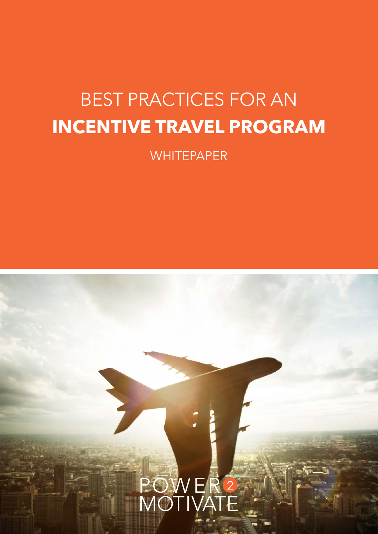## BEST PRACTICES FOR AN **INCENTIVE TRAVEL PROGRAM**

**WHITEPAPER** 

# POWER<sup>2</sup><br>MOTIVATE **1.** BEST PRACTICES FOR AN INCENTIVE TRAVEL PROGRAM power2motivate.com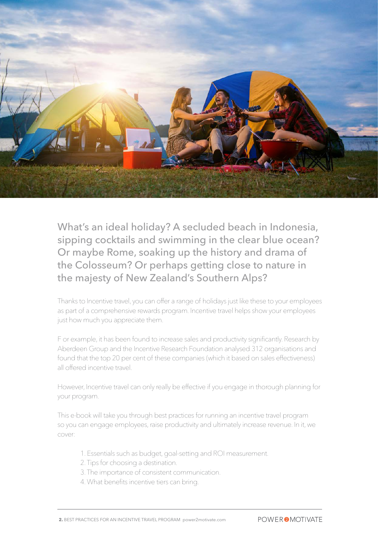

What's an ideal holiday? A secluded beach in Indonesia, sipping cocktails and swimming in the clear blue ocean? Or maybe Rome, soaking up the history and drama of the Colosseum? Or perhaps getting close to nature in the majesty of New Zealand's Southern Alps?

Thanks to Incentive travel, you can offer a range of holidays just like these to your employees as part of a comprehensive rewards program. Incentive travel helps show your employees just how much you appreciate them.

F or example, it has been found to increase sales and productivity significantly. Research by Aberdeen Group and the Incentive Research Foundation analysed 312 organisations and found that the top 20 per cent of these companies (which it based on sales effectiveness) all offered incentive travel.

However, Incentive travel can only really be effective if you engage in thorough planning for your program.

This e-book will take you through best practices for running an incentive travel program so you can engage employees, raise productivity and ultimately increase revenue. In it, we cover:

- 1. Essentials such as budget, goal-setting and ROI measurement.
- 2. Tips for choosing a destination.
- 3. The importance of consistent communication.
- 4. What benefits incentive tiers can bring.

**2.** BEST PRACTICES FOR AN INCENTIVE TRAVEL PROGRAM power2motivate.com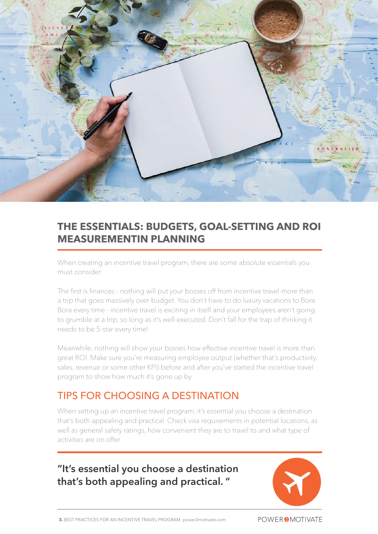

#### **THE ESSENTIALS: BUDGETS, GOAL-SETTING AND ROI MEASUREMENTIN PLANNING**

When creating an incentive travel program, there are some absolute essentials you must consider.

The first is finances - nothing will put your bosses off from incentive travel more than a trip that goes massively over-budget. You don't have to do luxury vacations to Bora Bora every time - incentive travel is exciting in itself and your employees aren't going to grumble at a trip, so long as it's well-executed. Don't fall for the trap of thinking it needs to be 5-star every time!

Meanwhile, nothing will show your bosses how effective incentive travel is more than great ROI. Make sure you're measuring employee output (whether that's productivity, sales, revenue or some other KPI) before and after you've started the incentive travel program to show how much it's gone up by.

#### TIPS FOR CHOOSING A DESTINATION

When setting up an incentive travel program, it's essential you choose a destination that's both appealing and practical. Check visa requirements in potential locations, as well as general safety ratings, how convenient they are to travel to and what type of activities are on offer.

**"It's essential you choose a destination that's both appealing and practical. "**



**POWER 2 MOTIVATE**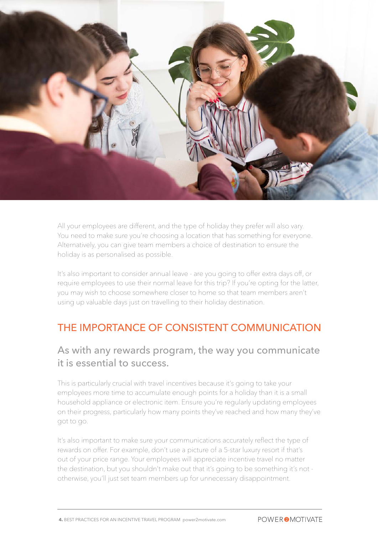

All your employees are different, and the type of holiday they prefer will also vary. You need to make sure you're choosing a location that has something for everyone. Alternatively, you can give team members a choice of destination to ensure the holiday is as personalised as possible.

It's also important to consider annual leave - are you going to offer extra days off, or require employees to use their normal leave for this trip? If you're opting for the latter, you may wish to choose somewhere closer to home so that team members aren't using up valuable days just on travelling to their holiday destination.

#### THE IMPORTANCE OF CONSISTENT COMMUNICATION

#### As with any rewards program, the way you communicate it is essential to success.

This is particularly crucial with travel incentives because it's going to take your employees more time to accumulate enough points for a holiday than it is a small household appliance or electronic item. Ensure you're regularly updating employees on their progress, particularly how many points they've reached and how many they've got to go.

It's also important to make sure your communications accurately reflect the type of rewards on offer. For example, don't use a picture of a 5-star luxury resort if that's out of your price range. Your employees will appreciate incentive travel no matter the destination, but you shouldn't make out that it's going to be something it's not otherwise, you'll just set team members up for unnecessary disappointment.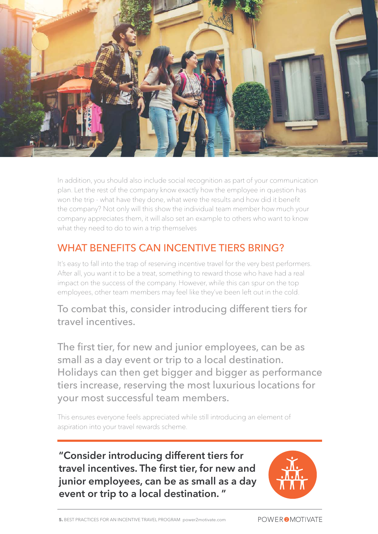![](_page_4_Picture_0.jpeg)

In addition, you should also include social recognition as part of your communication plan. Let the rest of the company know exactly how the employee in question has won the trip - what have they done, what were the results and how did it benefit the company? Not only will this show the individual team member how much your company appreciates them, it will also set an example to others who want to know what they need to do to win a trip themselves

### WHAT BENEFITS CAN INCENTIVE TIERS BRING?

It's easy to fall into the trap of reserving incentive travel for the very best performers. After all, you want it to be a treat, something to reward those who have had a real impact on the success of the company. However, while this can spur on the top employees, other team members may feel like they've been left out in the cold.

#### To combat this, consider introducing different tiers for travel incentives.

The first tier, for new and junior employees, can be as small as a day event or trip to a local destination. Holidays can then get bigger and bigger as performance tiers increase, reserving the most luxurious locations for your most successful team members.

This ensures everyone feels appreciated while still introducing an element of aspiration into your travel rewards scheme.

**"Consider introducing different tiers for travel incentives. The first tier, for new and junior employees, can be as small as a day event or trip to a local destination. "**

![](_page_4_Picture_8.jpeg)